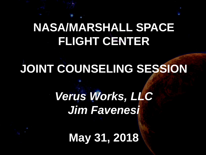## **NASA/MARSHALL SPACE FLIGHT CENTER**

# **JOINT COUNSELING SESSION**

*Verus Works, LLC Jim Favenesi*

**May 31, 2018**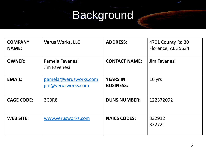## **Background**

| <b>COMPANY</b><br><b>NAME:</b> | <b>Verus Works, LLC</b>                     | <b>ADDRESS:</b>                     | 4701 County Rd 30<br>Florence, AL 35634 |
|--------------------------------|---------------------------------------------|-------------------------------------|-----------------------------------------|
| <b>OWNER:</b>                  | Pamela Favenesi<br>Jim Favenesi             | <b>CONTACT NAME:</b>                | Jim Favenesi                            |
| <b>EMAIL:</b>                  | pamela@verusworks.com<br>jim@verusworks.com | <b>YEARS IN</b><br><b>BUSINESS:</b> | 16 yrs                                  |
| <b>CAGE CODE:</b>              | 3CBR8                                       | <b>DUNS NUMBER:</b>                 | 122372092                               |
| <b>WEB SITE:</b>               | www.verusworks.com                          | <b>NAICS CODES:</b>                 | 332912<br>332721                        |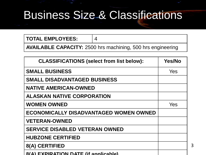#### Business Size & Classifications

**TOTAL EMPLOYEES:** 4

**AVAILABLE CAPACITY:** 2500 hrs machining, 500 hrs engineering

| <b>CLASSIFICATIONS (select from list below):</b> | Yes/No |
|--------------------------------------------------|--------|
| <b>SMALL BUSINESS</b>                            | Yes    |
| <b>SMALL DISADVANTAGED BUSINESS</b>              |        |
| <b>NATIVE AMERICAN-OWNED</b>                     |        |
| <b>ALASKAN NATIVE CORPORATION</b>                |        |
| <b>WOMEN OWNED</b>                               | Yes    |
| <b>ECONOMICALLY DISADVANTAGED WOMEN OWNED</b>    |        |
| <b>VETERAN-OWNED</b>                             |        |
| <b>SERVICE DISABLED VETERAN OWNED</b>            |        |
| <b>HUBZONE CERTIFIED</b>                         |        |
| 8(A) CERTIFIED                                   |        |
| <b>8(A) EXPIRATION DATE (if annicable)</b>       |        |

3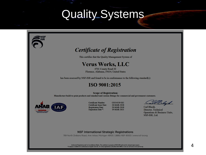### Quality Systems



#### **NSF International Strategic Registrations**

789 North Dixboro Road, Ann Arbor, Michigan 48105 | (888) NSF-9000 | www.nsf-isr.org

Authorized Registration and /or Accreditation Marks. This certificate is property of NSF-ISR and must be returned upon request ny is audited for conformance at regular intervals. To verify registrations call (888) NSF-9000 or visit our web site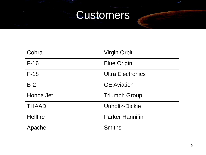#### **Customers**

| Cobra           | <b>Virgin Orbit</b>      |
|-----------------|--------------------------|
| $F-16$          | <b>Blue Origin</b>       |
| $F-18$          | <b>Ultra Electronics</b> |
| $B-2$           | <b>GE</b> Aviation       |
| Honda Jet       | <b>Triumph Group</b>     |
| <b>THAAD</b>    | <b>Unholtz-Dickie</b>    |
| <b>Hellfire</b> | <b>Parker Hannifin</b>   |
| Apache          | <b>Smiths</b>            |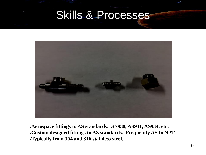

●**Aerospace fittings to AS standards: AS930, AS931, AS934, etc.** ●**Custom designed fittings to AS standards. Frequently AS to NPT.** ●**Typically from 304 and 316 stainless steel.**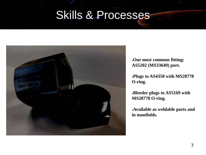

●**Our most common fitting: AS5202 (MS33649) port.**

●**Plugs to AS4350 with MS28778 O-ring.**

●**Bleeder plugs to AS5169 with MS28778 O-ring.**

●**Available as weldable ports and in manifolds.**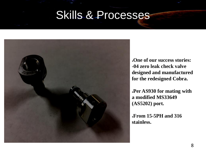

●**One of our success stories: -04 zero leak check valve designed and manufactured for the redesigned Cobra.**

●**Per AS930 for mating with a modified MS33649 (AS5202) port.**

●**From 15-5PH and 316 stainless.**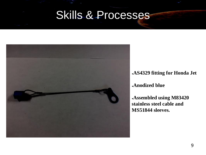

●**AS4329 fitting for Honda Jet**

●**Anodized blue**

●**Assembled using M83420 stainless steel cable and MS51844 sleeves.**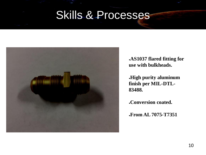

●**AS1037 flared fitting for use with bulkheads.**

●**High purity aluminum finish per MIL-DTL-83488.**

●**Conversion coated.**

●**From AL 7075-T7351**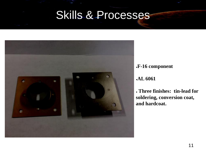

●**F-16 component**

#### ●**AL 6061**

● **Three finishes: tin-lead for soldering, conversion coat, and hardcoat.**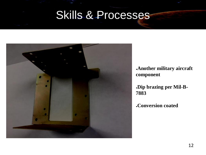

●**Another military aircraft component**

●**Dip brazing per Mil-B-7883**

●**Conversion coated**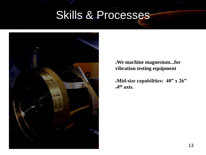

●**We machine magnesium...for vibration testing equipment**

●**Mid-size capabilities: 40" x 26"** ●**4 th axis.**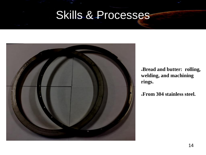

●**Bread and butter: rolling, welding, and machining rings.**

●**From 304 stainless steel.**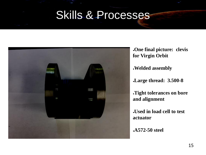

●**One final picture: clevis for Virgin Orbit** ●**Welded assembly** ●**Large thread: 3.500-8** ●**Tight tolerances on bore and alignment** ●**Used in load cell to test actuator** ●**A572-50 steel**